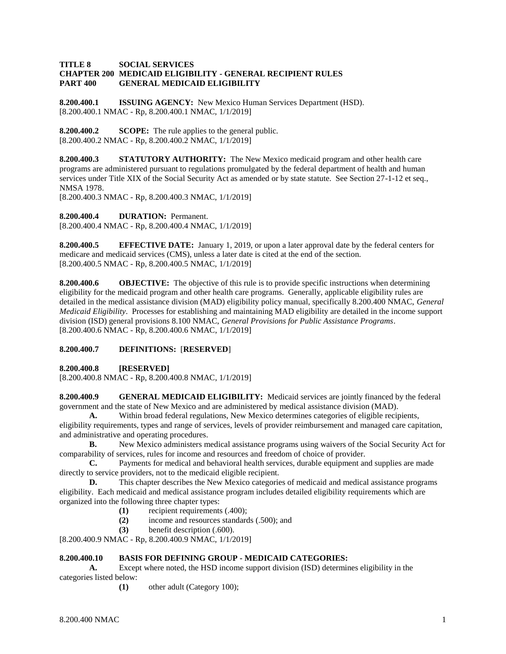#### **TITLE 8 SOCIAL SERVICES CHAPTER 200 MEDICAID ELIGIBILITY - GENERAL RECIPIENT RULES PART 400 GENERAL MEDICAID ELIGIBILITY**

**8.200.400.1 ISSUING AGENCY:** New Mexico Human Services Department (HSD). [8.200.400.1 NMAC - Rp, 8.200.400.1 NMAC, 1/1/2019]

**8.200.400.2 SCOPE:** The rule applies to the general public. [8.200.400.2 NMAC - Rp, 8.200.400.2 NMAC, 1/1/2019]

**8.200.400.3 STATUTORY AUTHORITY:** The New Mexico medicaid program and other health care programs are administered pursuant to regulations promulgated by the federal department of health and human services under Title XIX of the Social Security Act as amended or by state statute. See Section 27-1-12 et seq., NMSA 1978.

[8.200.400.3 NMAC - Rp, 8.200.400.3 NMAC, 1/1/2019]

**8.200.400.4 DURATION:** Permanent.

[8.200.400.4 NMAC - Rp, 8.200.400.4 NMAC, 1/1/2019]

**8.200.400.5 EFFECTIVE DATE:** January 1, 2019, or upon a later approval date by the federal centers for medicare and medicaid services (CMS), unless a later date is cited at the end of the section. [8.200.400.5 NMAC - Rp, 8.200.400.5 NMAC, 1/1/2019]

**8.200.400.6 OBJECTIVE:** The objective of this rule is to provide specific instructions when determining eligibility for the medicaid program and other health care programs. Generally, applicable eligibility rules are detailed in the medical assistance division (MAD) eligibility policy manual, specifically 8.200.400 NMAC, *General Medicaid Eligibility*. Processes for establishing and maintaining MAD eligibility are detailed in the income support division (ISD) general provisions 8.100 NMAC, *General Provisions for Public Assistance Programs*. [8.200.400.6 NMAC - Rp, 8.200.400.6 NMAC, 1/1/2019]

### **8.200.400.7 DEFINITIONS:** [**RESERVED**]

**8.200.400.8 [RESERVED]**

[8.200.400.8 NMAC - Rp, 8.200.400.8 NMAC, 1/1/2019]

**8.200.400.9 GENERAL MEDICAID ELIGIBILITY:** Medicaid services are jointly financed by the federal government and the state of New Mexico and are administered by medical assistance division (MAD).

**A.** Within broad federal regulations, New Mexico determines categories of eligible recipients, eligibility requirements, types and range of services, levels of provider reimbursement and managed care capitation, and administrative and operating procedures.

**B.** New Mexico administers medical assistance programs using waivers of the Social Security Act for comparability of services, rules for income and resources and freedom of choice of provider.

**C.** Payments for medical and behavioral health services, durable equipment and supplies are made directly to service providers, not to the medicaid eligible recipient.

**D.** This chapter describes the New Mexico categories of medicaid and medical assistance programs eligibility. Each medicaid and medical assistance program includes detailed eligibility requirements which are organized into the following three chapter types:

- **(1)** recipient requirements (.400);
- **(2)** income and resources standards (.500); and
- **(3)** benefit description (.600).

[8.200.400.9 NMAC - Rp, 8.200.400.9 NMAC, 1/1/2019]

### **8.200.400.10 BASIS FOR DEFINING GROUP - MEDICAID CATEGORIES:**

**A.** Except where noted, the HSD income support division (ISD) determines eligibility in the categories listed below:

**(1)** other adult (Category 100);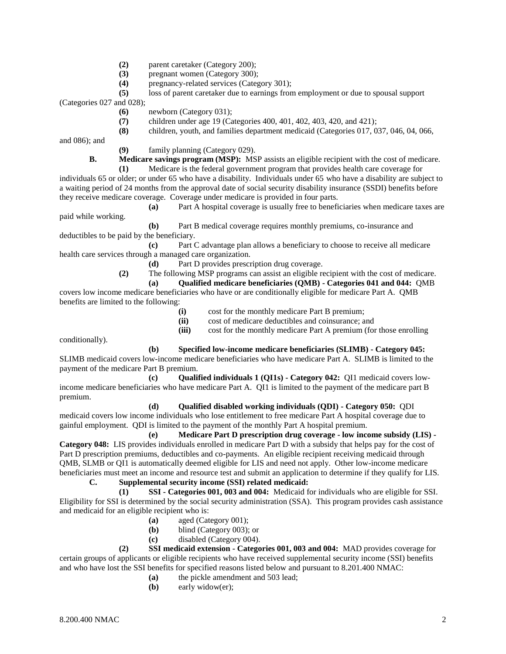- **(2)** parent caretaker (Category 200);
- **(3)** pregnant women (Category 300);
- **(4)** pregnancy-related services (Category 301);
- **(5)** loss of parent caretaker due to earnings from employment or due to spousal support

(Categories 027 and 028);

- **(6)** newborn (Category 031);
- **(7)** children under age 19 (Categories 400, 401, 402, 403, 420, and 421);
- **(8)** children, youth, and families department medicaid (Categories 017, 037, 046, 04, 066,

and 086); and

**(9)** family planning (Category 029).

**B. Medicare savings program (MSP):** MSP assists an eligible recipient with the cost of medicare.

**(1)** Medicare is the federal government program that provides health care coverage for individuals 65 or older; or under 65 who have a disability. Individuals under 65 who have a disability are subject to a waiting period of 24 months from the approval date of social security disability insurance (SSDI) benefits before they receive medicare coverage. Coverage under medicare is provided in four parts.

**(a)** Part A hospital coverage is usually free to beneficiaries when medicare taxes are paid while working.

**(b)** Part B medical coverage requires monthly premiums, co-insurance and deductibles to be paid by the beneficiary.

**(c)** Part C advantage plan allows a beneficiary to choose to receive all medicare health care services through a managed care organization.

- **(d)** Part D provides prescription drug coverage.
- **(2)** The following MSP programs can assist an eligible recipient with the cost of medicare.
	- **(a) Qualified medicare beneficiaries (QMB) - Categories 041 and 044:** QMB

covers low income medicare beneficiaries who have or are conditionally eligible for medicare Part A. QMB benefits are limited to the following:

- **(i)** cost for the monthly medicare Part B premium;
- **(ii)** cost of medicare deductibles and coinsurance; and

**(iii)** cost for the monthly medicare Part A premium (for those enrolling

conditionally).

## **(b) Specified low-income medicare beneficiaries (SLIMB) - Category 045:**

SLIMB medicaid covers low-income medicare beneficiaries who have medicare Part A. SLIMB is limited to the payment of the medicare Part B premium.

**(c) Qualified individuals 1 (QI1s) - Category 042:** QI1 medicaid covers lowincome medicare beneficiaries who have medicare Part A. QI1 is limited to the payment of the medicare part B premium.

### **(d) Qualified disabled working individuals (QDI) - Category 050:** QDI

medicaid covers low income individuals who lose entitlement to free medicare Part A hospital coverage due to gainful employment. QDI is limited to the payment of the monthly Part A hospital premium.

**(e) Medicare Part D prescription drug coverage - low income subsidy (LIS) - Category 048:** LIS provides individuals enrolled in medicare Part D with a subsidy that helps pay for the cost of Part D prescription premiums, deductibles and co-payments. An eligible recipient receiving medicaid through QMB, SLMB or QI1 is automatically deemed eligible for LIS and need not apply. Other low-income medicare beneficiaries must meet an income and resource test and submit an application to determine if they qualify for LIS.

# **C. Supplemental security income (SSI) related medicaid:**

**(1) SSI - Categories 001, 003 and 004:** Medicaid for individuals who are eligible for SSI. Eligibility for SSI is determined by the social security administration (SSA). This program provides cash assistance and medicaid for an eligible recipient who is:

- **(a)** aged (Category 001);
- **(b)** blind (Category 003); or
- **(c)** disabled (Category 004).

**(2) SSI medicaid extension - Categories 001, 003 and 004:** MAD provides coverage for certain groups of applicants or eligible recipients who have received supplemental security income (SSI) benefits and who have lost the SSI benefits for specified reasons listed below and pursuant to 8.201.400 NMAC:

- **(a)** the pickle amendment and 503 lead;
- **(b)** early widow(er);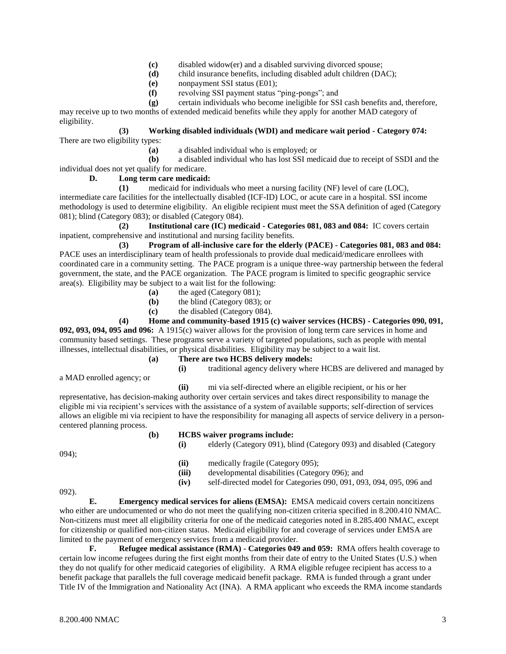- **(c)** disabled widow(er) and a disabled surviving divorced spouse;
- **(d)** child insurance benefits, including disabled adult children (DAC);
- **(e)** nonpayment SSI status (E01);
- **(f)** revolving SSI payment status "ping-pongs"; and
- **(g)** certain individuals who become ineligible for SSI cash benefits and, therefore,

may receive up to two months of extended medicaid benefits while they apply for another MAD category of eligibility.

#### **(3) Working disabled individuals (WDI) and medicare wait period - Category 074:** There are two eligibility types:

**(a)** a disabled individual who is employed; or

**(b)** a disabled individual who has lost SSI medicaid due to receipt of SSDI and the individual does not yet qualify for medicare.

### **D. Long term care medicaid:**

**(1)** medicaid for individuals who meet a nursing facility (NF) level of care (LOC), intermediate care facilities for the intellectually disabled (ICF-ID) LOC, or acute care in a hospital. SSI income methodology is used to determine eligibility. An eligible recipient must meet the SSA definition of aged (Category 081); blind (Category 083); or disabled (Category 084).

**(2) Institutional care (IC) medicaid - Categories 081, 083 and 084:** IC covers certain inpatient, comprehensive and institutional and nursing facility benefits.

**(3) Program of all-inclusive care for the elderly (PACE) - Categories 081, 083 and 084:** PACE uses an interdisciplinary team of health professionals to provide dual medicaid/medicare enrollees with coordinated care in a community setting. The PACE program is a unique three-way partnership between the federal government, the state, and the PACE organization. The PACE program is limited to specific geographic service area(s). Eligibility may be subject to a wait list for the following:

- **(a)** the aged (Category 081);
- **(b)** the blind (Category 083); or
- **(c)** the disabled (Category 084).

## **(4) Home and community-based 1915 (c) waiver services (HCBS) - Categories 090, 091,**

**092, 093, 094, 095 and 096:** A 1915(c) waiver allows for the provision of long term care services in home and community based settings. These programs serve a variety of targeted populations, such as people with mental illnesses, intellectual disabilities, or physical disabilities. Eligibility may be subject to a wait list.

- **(a) There are two HCBS delivery models:**
	-

# **(i)** traditional agency delivery where HCBS are delivered and managed by

a MAD enrolled agency; or

**(ii)** mi via self-directed where an eligible recipient, or his or her

representative, has decision-making authority over certain services and takes direct responsibility to manage the eligible mi via recipient's services with the assistance of a system of available supports; self-direction of services allows an eligible mi via recipient to have the responsibility for managing all aspects of service delivery in a personcentered planning process.

### **(b) HCBS waiver programs include:**

| $094$ :   | (i)           | elderly (Category 091), blind (Category 093) and disabled (Category                 |
|-----------|---------------|-------------------------------------------------------------------------------------|
|           | (ii)<br>(iii) | medically fragile (Category 095);<br>developmental disabilities (Category 096); and |
|           | (iv)          | self-directed model for Categories 090, 091, 093, 094, 095, 096 and                 |
| $(092)$ . |               |                                                                                     |

092).

**E. Emergency medical services for aliens (EMSA):** EMSA medicaid covers certain noncitizens who either are undocumented or who do not meet the qualifying non-citizen criteria specified in 8.200.410 NMAC. Non-citizens must meet all eligibility criteria for one of the medicaid categories noted in 8.285.400 NMAC, except for citizenship or qualified non-citizen status. Medicaid eligibility for and coverage of services under EMSA are limited to the payment of emergency services from a medicaid provider.

**F. Refugee medical assistance (RMA) - Categories 049 and 059:** RMA offers health coverage to certain low income refugees during the first eight months from their date of entry to the United States (U.S.) when they do not qualify for other medicaid categories of eligibility. A RMA eligible refugee recipient has access to a benefit package that parallels the full coverage medicaid benefit package. RMA is funded through a grant under Title IV of the Immigration and Nationality Act (INA). A RMA applicant who exceeds the RMA income standards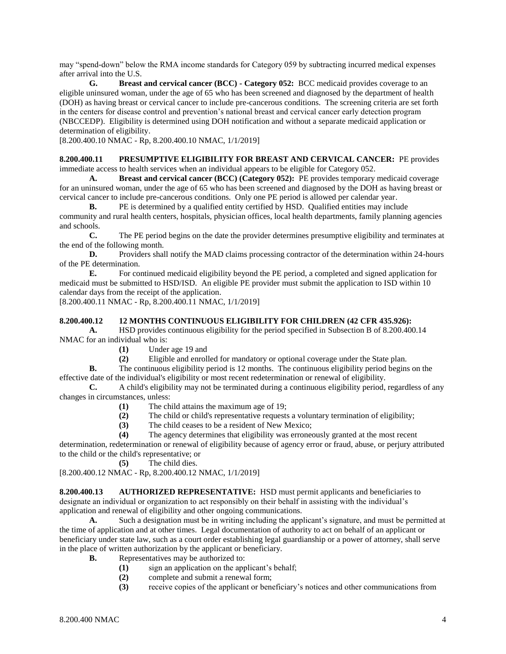may "spend-down" below the RMA income standards for Category 059 by subtracting incurred medical expenses after arrival into the U.S.

**G. Breast and cervical cancer (BCC) - Category 052:** BCC medicaid provides coverage to an eligible uninsured woman, under the age of 65 who has been screened and diagnosed by the department of health (DOH) as having breast or cervical cancer to include pre-cancerous conditions. The screening criteria are set forth in the centers for disease control and prevention's national breast and cervical cancer early detection program (NBCCEDP). Eligibility is determined using DOH notification and without a separate medicaid application or determination of eligibility.

[8.200.400.10 NMAC - Rp, 8.200.400.10 NMAC, 1/1/2019]

**8.200.400.11 PRESUMPTIVE ELIGIBILITY FOR BREAST AND CERVICAL CANCER:** PE provides immediate access to health services when an individual appears to be eligible for Category 052.

**A. Breast and cervical cancer (BCC) (Category 052):** PE provides temporary medicaid coverage for an uninsured woman, under the age of 65 who has been screened and diagnosed by the DOH as having breast or cervical cancer to include pre-cancerous conditions. Only one PE period is allowed per calendar year.

**B.** PE is determined by a qualified entity certified by HSD. Qualified entities may include community and rural health centers, hospitals, physician offices, local health departments, family planning agencies and schools.

**C.** The PE period begins on the date the provider determines presumptive eligibility and terminates at the end of the following month.

**D.** Providers shall notify the MAD claims processing contractor of the determination within 24-hours of the PE determination.

**E.** For continued medicaid eligibility beyond the PE period, a completed and signed application for medicaid must be submitted to HSD/ISD. An eligible PE provider must submit the application to ISD within 10 calendar days from the receipt of the application.

[8.200.400.11 NMAC - Rp, 8.200.400.11 NMAC, 1/1/2019]

#### **8.200.400.12 12 MONTHS CONTINUOUS ELIGIBILITY FOR CHILDREN (42 CFR 435.926):**

**A.** HSD provides continuous eligibility for the period specified in Subsection B of 8.200.400.14 NMAC for an individual who is:

**(1)** Under age 19 and

**(2)** Eligible and enrolled for mandatory or optional coverage under the State plan.

**B.** The continuous eligibility period is 12 months. The continuous eligibility period begins on the effective date of the individual's eligibility or most recent redetermination or renewal of eligibility.

**C.** A child's eligibility may not be terminated during a continuous eligibility period, regardless of any changes in circumstances, unless:

- **(1)** The child attains the maximum age of 19;
- **(2)** The child or child's representative requests a voluntary termination of eligibility;
- **(3)** The child ceases to be a resident of New Mexico;
- **(4)** The agency determines that eligibility was erroneously granted at the most recent

determination, redetermination or renewal of eligibility because of agency error or fraud, abuse, or perjury attributed to the child or the child's representative; or

**(5)** The child dies.

[8.200.400.12 NMAC - Rp, 8.200.400.12 NMAC, 1/1/2019]

**8.200.400.13 AUTHORIZED REPRESENTATIVE:** HSD must permit applicants and beneficiaries to designate an individual or organization to act responsibly on their behalf in assisting with the individual's application and renewal of eligibility and other ongoing communications.

**A.** Such a designation must be in writing including the applicant's signature, and must be permitted at the time of application and at other times. Legal documentation of authority to act on behalf of an applicant or beneficiary under state law, such as a court order establishing legal guardianship or a power of attorney, shall serve in the place of written authorization by the applicant or beneficiary.

- **B.** Representatives may be authorized to:
	- **(1)** sign an application on the applicant's behalf;
	- **(2)** complete and submit a renewal form;
	- **(3)** receive copies of the applicant or beneficiary's notices and other communications from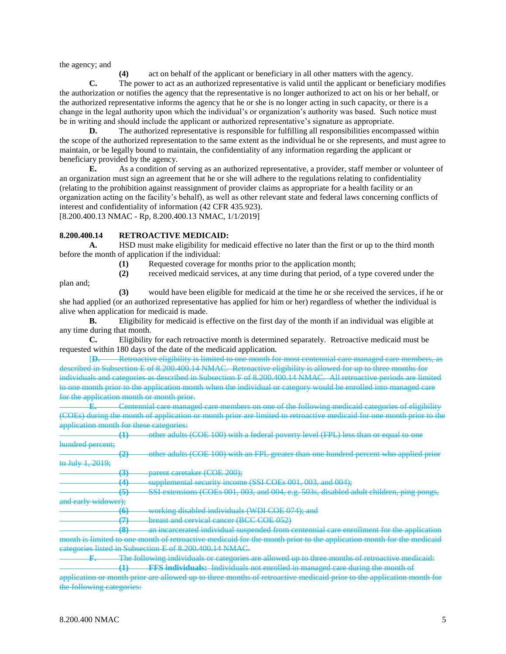the agency; and

**(4)** act on behalf of the applicant or beneficiary in all other matters with the agency.

**C.** The power to act as an authorized representative is valid until the applicant or beneficiary modifies the authorization or notifies the agency that the representative is no longer authorized to act on his or her behalf, or the authorized representative informs the agency that he or she is no longer acting in such capacity, or there is a change in the legal authority upon which the individual's or organization's authority was based. Such notice must be in writing and should include the applicant or authorized representative's signature as appropriate.

**D.** The authorized representative is responsible for fulfilling all responsibilities encompassed within the scope of the authorized representation to the same extent as the individual he or she represents, and must agree to maintain, or be legally bound to maintain, the confidentiality of any information regarding the applicant or beneficiary provided by the agency.

**E.** As a condition of serving as an authorized representative, a provider, staff member or volunteer of an organization must sign an agreement that he or she will adhere to the regulations relating to confidentiality (relating to the prohibition against reassignment of provider claims as appropriate for a health facility or an organization acting on the facility's behalf), as well as other relevant state and federal laws concerning conflicts of interest and confidentiality of information (42 CFR 435.923). [8.200.400.13 NMAC - Rp, 8.200.400.13 NMAC, 1/1/2019]

#### **8.200.400.14 RETROACTIVE MEDICAID:**

**A.** HSD must make eligibility for medicaid effective no later than the first or up to the third month before the month of application if the individual:

**(1)** Requested coverage for months prior to the application month;

plan and;

**(3)** would have been eligible for medicaid at the time he or she received the services, if he or she had applied (or an authorized representative has applied for him or her) regardless of whether the individual is alive when application for medicaid is made.

**(2)** received medicaid services, at any time during that period, of a type covered under the

**B.** Eligibility for medicaid is effective on the first day of the month if an individual was eligible at any time during that month.

**C.** Eligibility for each retroactive month is determined separately. Retroactive medicaid must be requested within 180 days of the date of the medicaid application.

[**D.** Retroactive eligibility is limited to one month for most centennial care managed care members,  $\frac{1}{4}$  in Subsection E of 8.200.400.14 NMAC. Retroactive eligibility is allowed for up to three months for individuals and categories as described in Subsection F of 8.200.400.14 NMAC. All retroactive periods are limited to one month prior to the application month when the individual or category would be enrolled into managed care for the application month or month prior.

**E.** Centennial care managed care members on one of the following medicaid categories of eligibility (COEs) during the month of application or month prior are limited to retroactive medicaid for one month prior to the application month for these categories:

**(1)** other adults (COE 100) with a federal poverty level (FPL) less than or equal to one hundred percent;

**(2)** other adults (COE 100) with an FPL greater than one hundred percent who applied prior to July 1, 2019;

**(3)** parent caretaker (COE 200);

**(4)** supplemental security income (SSI COEs 001, 003, and 004);

**(5)** SSI extensions (COEs 001, 003, and 004, e.g. 503s, disabled adult children, ping pongs, and early widower);

**(6)** working disabled individuals (WDI COE 074); and

**(7)** breast and cervical cancer (BCC COE 052)

**(8)** an incarcerated individual suspended from centennial care enrollment for the application month is limited to one month of retroactive medicaid for the month prior to the application month for the medicaid categories listed in Subsection E of 8.200.400.14 NMAC.

**F.** The following individuals or categories are allowed up to three months of retroactive medicaid: **(1) FFS individuals:** Individuals not enrolled in managed care during the month of

application or month prior are allowed up to three months of retroactive medicaid prior to the application month for the following categories: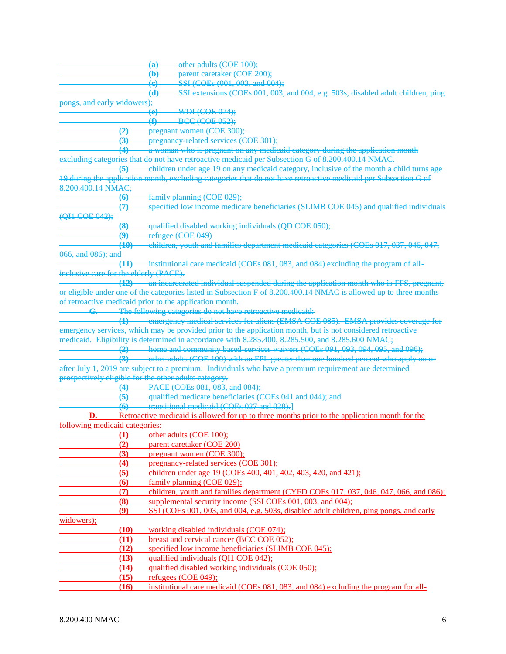|                                        |                        | other adults (COE 100);<br>$\left(\mathrm{a}\right)$                                                              |
|----------------------------------------|------------------------|-------------------------------------------------------------------------------------------------------------------|
|                                        |                        | parent caretaker (COE 200);<br>$\bigoplus$                                                                        |
|                                        |                        | SSI (COEs (001, 003, and 004);<br>$\left(\mathbf{e}\right)$                                                       |
|                                        |                        | SSI extensions (COEs 001, 003, and 004, e.g. 503s, disabled adult children, ping<br>$\overline{d}$                |
| pongs, and early widowers);            |                        |                                                                                                                   |
|                                        |                        | <b>WDI (COE 074);</b><br>$\Theta$                                                                                 |
|                                        |                        | $\bigoplus$<br><b>BCC (COE 052);</b>                                                                              |
|                                        | $\left( 2\right)$      | pregnant women (COE 300);                                                                                         |
|                                        | $\left(3\right)$       | related services (COE 301);<br>pregnancy                                                                          |
|                                        | $\overline{4}$         | a woman who is pregnant on any medicaid category during the application month                                     |
|                                        |                        | excluding categories that do not have retroactive medicaid per Subsection G of 8.200.400.14 NMAC.                 |
|                                        | $\left(5\right)$       | children under age 19 on any medicaid category, inclusive of the month a child turns age                          |
|                                        |                        | 19 during the application month, excluding categories that do not have retroactive medicaid per Subsection G of   |
| 8.200.400.14 NMAC;                     |                        |                                                                                                                   |
|                                        | $\bigoplus$            | family planning (COE 029);                                                                                        |
|                                        | $\boldsymbol{\varphi}$ | specified low income medicare beneficiaries (SLIMB COE 045) and qualified individuals                             |
| (QH-COE 042);                          |                        |                                                                                                                   |
|                                        | $\left( 8 \right)$     | qualified disabled working individuals (QD COE 050);                                                              |
|                                        | $\overline{\bm{e}}$    | refugee (COE 049)                                                                                                 |
|                                        | (10)                   | children, youth and families department medicaid categories (COEs 017, 037, 046, 047,                             |
| 066, and 086); and                     |                        |                                                                                                                   |
|                                        | $\overline{41}$        | institutional care medicaid (COEs 081, 083, and 084) excluding the program of all-                                |
| inclusive care for the elderly (PACE). |                        |                                                                                                                   |
|                                        | <del>(12)</del>        | an incarcerated individual suspended during the application month who is FFS, pregnant,                           |
|                                        |                        | or eligible under one of the categories listed in Subsection F of 8.200.400.14 NMAC is allowed up to three months |
|                                        |                        | of retroactive medicaid prior to the application month.                                                           |
|                                        |                        | The following categories do not have retroactive medicaid:                                                        |
|                                        |                        | emergency medical services for aliens (EMSA COE 085). EMSA provides coverage for                                  |
|                                        |                        | emergency services, which may be provided prior to the application month, but is not considered retroactive       |
|                                        |                        | medicaid. Eligibility is determined in accordance with 8.285.400, 8.285.500, and 8.285.600 NMAC;                  |
|                                        | $\left( 2\right)$      | home and community based services waivers (COEs 091, 093, 094, 095, and 096);                                     |
|                                        | $\biguplus$            | other adults (COE 100) with an FPL greater than one hundred percent who apply on or                               |
|                                        |                        | after July 1, 2019 are subject to a premium. Individuals who have a premium requirement are determined            |
|                                        |                        | prospectively eligible for the other adults category.                                                             |
|                                        | $\overline{4}$         | PACE (COEs 081, 083, and 084);                                                                                    |
|                                        | $\left(5\right)$       | qualified medicare beneficiaries (COEs 041 and 044); and                                                          |
|                                        | (6)                    | transitional medicaid (COEs 027 and 028).                                                                         |
| D.                                     |                        | Retroactive medicaid is allowed for up to three months prior to the application month for the                     |
| following medicaid categories:         |                        |                                                                                                                   |
|                                        | (1)                    | other adults (COE 100);                                                                                           |
|                                        | (2)                    | parent caretaker (COE 200)                                                                                        |
|                                        | (3)                    | pregnant women (COE 300);                                                                                         |
|                                        | (4)                    | pregnancy-related services (COE 301);                                                                             |
|                                        | (5)                    | children under age 19 (COEs 400, 401, 402, 403, 420, and 421);                                                    |
|                                        | <b>(6)</b>             | family planning (COE 029);                                                                                        |
|                                        | (7)                    | children, youth and families department (CYFD COEs 017, 037, 046, 047, 066, and 086);                             |
|                                        | (8)                    | supplemental security income (SSI COEs 001, 003, and 004);                                                        |
|                                        | (9)                    | SSI (COEs 001, 003, and 004, e.g. 503s, disabled adult children, ping pongs, and early                            |
| widowers);                             |                        |                                                                                                                   |
|                                        | (10)                   | working disabled individuals (COE 074);                                                                           |
|                                        | (11)                   | breast and cervical cancer (BCC COE 052);                                                                         |
|                                        | (12)                   | specified low income beneficiaries (SLIMB COE 045);                                                               |
|                                        | (13)                   | qualified individuals (QI1 COE 042);                                                                              |
|                                        | (14)                   | qualified disabled working individuals (COE 050);                                                                 |
|                                        | (15)                   | refugees (COE 049);                                                                                               |
|                                        | (16)                   | institutional care medicaid (COEs 081, 083, and 084) excluding the program for all-                               |